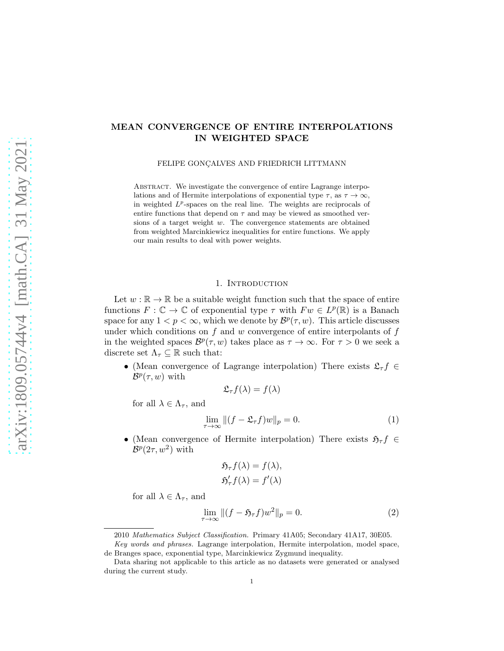# MEAN CONVERGENCE OF ENTIRE INTERPOLATIONS IN WEIGHTED SPACE

FELIPE GONÇALVES AND FRIEDRICH LITTMANN

ABSTRACT. We investigate the convergence of entire Lagrange interpolations and of Hermite interpolations of exponential type  $\tau$ , as  $\tau \to \infty$ , in weighted  $L^p$ -spaces on the real line. The weights are reciprocals of entire functions that depend on  $\tau$  and may be viewed as smoothed versions of a target weight w. The convergence statements are obtained from weighted Marcinkiewicz inequalities for entire functions. We apply our main results to deal with power weights.

### 1. INTRODUCTION

Let  $w : \mathbb{R} \to \mathbb{R}$  be a suitable weight function such that the space of entire functions  $F: \mathbb{C} \to \mathbb{C}$  of exponential type  $\tau$  with  $Fw \in L^p(\mathbb{R})$  is a Banach space for any  $1 < p < \infty$ , which we denote by  $\mathcal{B}^p(\tau, w)$ . This article discusses under which conditions on  $f$  and  $w$  convergence of entire interpolants of  $f$ in the weighted spaces  $\mathcal{B}^p(\tau, w)$  takes place as  $\tau \to \infty$ . For  $\tau > 0$  we seek a discrete set  $\Lambda_{\tau} \subseteq \mathbb{R}$  such that:

• (Mean convergence of Lagrange interpolation) There exists  $\mathfrak{L}_\tau f \in$  $B^p(\tau, w)$  with

<span id="page-0-0"></span>
$$
\mathfrak{L}_{\tau}f(\lambda)=f(\lambda)
$$

for all  $\lambda \in \Lambda_{\tau}$ , and

$$
\lim_{\tau \to \infty} \|(f - \mathfrak{L}_{\tau} f)w\|_{p} = 0.
$$
\n(1)

• (Mean convergence of Hermite interpolation) There exists  $\mathfrak{H}_{\tau} f \in$  $\mathcal{B}^p(2\tau,w^2)$  with

<span id="page-0-1"></span>
$$
\mathfrak{H}_{\tau}f(\lambda) = f(\lambda), \mathfrak{H}'_{\tau}f(\lambda) = f'(\lambda)
$$

for all  $\lambda \in \Lambda_{\tau}$ , and

$$
\lim_{\tau \to \infty} \left\| (f - \mathfrak{H}_{\tau} f) w^2 \right\|_p = 0. \tag{2}
$$

<sup>2010</sup> Mathematics Subject Classification. Primary 41A05; Secondary 41A17, 30E05.

Key words and phrases. Lagrange interpolation, Hermite interpolation, model space, de Branges space, exponential type, Marcinkiewicz Zygmund inequality.

Data sharing not applicable to this article as no datasets were generated or analysed during the current study.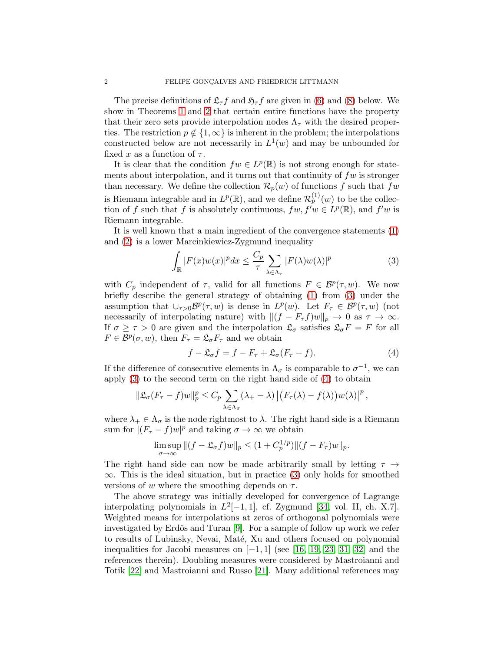The precise definitions of  $\mathfrak{L}_{\tau}f$  and  $\mathfrak{H}_{\tau}f$  are given in [\(6\)](#page-3-0) and [\(8\)](#page-4-0) below. We show in Theorems [1](#page-3-1) and [2](#page-4-1) that certain entire functions have the property that their zero sets provide interpolation nodes  $\Lambda_{\tau}$  with the desired properties. The restriction  $p \notin \{1,\infty\}$  is inherent in the problem; the interpolations constructed below are not necessarily in  $L^1(w)$  and may be unbounded for fixed x as a function of  $\tau$ .

It is clear that the condition  $fw \in L^p(\mathbb{R})$  is not strong enough for statements about interpolation, and it turns out that continuity of  $fw$  is stronger than necessary. We define the collection  $\mathcal{R}_p(w)$  of functions f such that fw is Riemann integrable and in  $L^p(\mathbb{R})$ , and we define  $\mathcal{R}_p^{(1)}(w)$  to be the collection of f such that f is absolutely continuous,  $fw, f^{\prime}w \in L^{p}(\mathbb{R})$ , and  $f^{\prime}w$  is Riemann integrable.

It is well known that a main ingredient of the convergence statements [\(1\)](#page-0-0) and [\(2\)](#page-0-1) is a lower Marcinkiewicz-Zygmund inequality

<span id="page-1-0"></span>
$$
\int_{\mathbb{R}} |F(x)w(x)|^p dx \le \frac{C_p}{\tau} \sum_{\lambda \in \Lambda_\tau} |F(\lambda)w(\lambda)|^p \tag{3}
$$

with  $C_p$  independent of  $\tau$ , valid for all functions  $F \in \mathcal{B}^p(\tau,w)$ . We now briefly describe the general strategy of obtaining [\(1\)](#page-0-0) from [\(3\)](#page-1-0) under the assumption that  $\cup_{\tau>0} \mathcal{B}^p(\tau,w)$  is dense in  $L^p(w)$ . Let  $F_\tau \in \mathcal{B}^p(\tau,w)$  (not necessarily of interpolating nature) with  $||(f - F_\tau f)w||_p \to 0$  as  $\tau \to \infty$ . If  $\sigma \geq \tau > 0$  are given and the interpolation  $\mathfrak{L}_{\sigma}$  satisfies  $\mathfrak{L}_{\sigma}F = F$  for all  $F \in \mathcal{B}^p(\sigma, w)$ , then  $F_\tau = \mathfrak{L}_{\sigma} F_\tau$  and we obtain

<span id="page-1-1"></span>
$$
f - \mathfrak{L}_{\sigma} f = f - F_{\tau} + \mathfrak{L}_{\sigma} (F_{\tau} - f). \tag{4}
$$

If the difference of consecutive elements in  $\Lambda_{\sigma}$  is comparable to  $\sigma^{-1}$ , we can apply [\(3\)](#page-1-0) to the second term on the right hand side of [\(4\)](#page-1-1) to obtain

$$
\|\mathfrak{L}_{\sigma}(F_{\tau}-f)w\|_{p}^{p}\leq C_{p}\sum_{\lambda\in\Lambda_{\sigma}}(\lambda_{+}-\lambda)\left|\left(F_{\tau}(\lambda)-f(\lambda)\right)w(\lambda)\right|^{p},
$$

where  $\lambda_+ \in \Lambda_{\sigma}$  is the node rightmost to  $\lambda$ . The right hand side is a Riemann sum for  $|(F_\tau - f)w|^p$  and taking  $\sigma \to \infty$  we obtain

$$
\limsup_{\sigma \to \infty} ||(f - \mathfrak{L}_{\sigma} f)w||_p \le (1 + C_p^{1/p}) ||(f - F_{\tau})w||_p.
$$

The right hand side can now be made arbitrarily small by letting  $\tau \rightarrow$  $\infty$ . This is the ideal situation, but in practice [\(3\)](#page-1-0) only holds for smoothed versions of w where the smoothing depends on  $\tau$ .

The above strategy was initially developed for convergence of Lagrange interpolating polynomials in  $L^2[-1,1]$ , cf. Zygmund [\[34,](#page-15-0) vol. II, ch. X.7]. Weighted means for interpolations at zeros of orthogonal polynomials were investigated by Erdös and Turan  $[9]$ . For a sample of follow up work we refer to results of Lubinsky, Nevai, Maté, Xu and others focused on polynomial inequalities for Jacobi measures on  $[-1, 1]$  (see [\[16,](#page-14-1) [19,](#page-14-2) [23,](#page-14-3) [31,](#page-15-1) [32\]](#page-15-2) and the references therein). Doubling measures were considered by Mastroianni and Totik [\[22\]](#page-14-4) and Mastroianni and Russo [\[21\]](#page-14-5). Many additional references may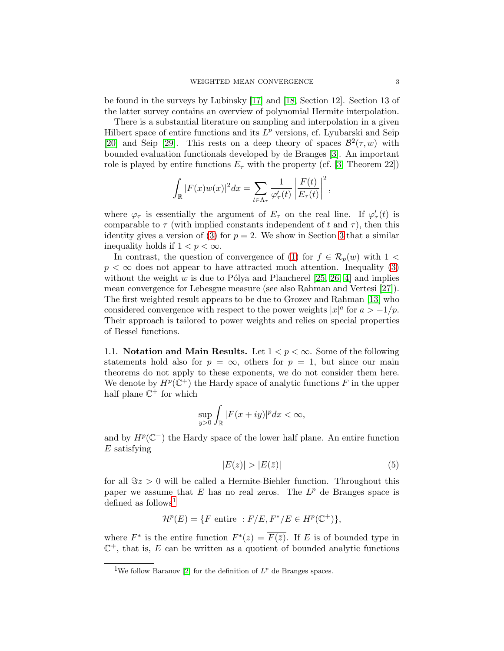be found in the surveys by Lubinsky [\[17\]](#page-14-6) and [\[18,](#page-14-7) Section 12]. Section 13 of the latter survey contains an overview of polynomial Hermite interpolation.

There is a substantial literature on sampling and interpolation in a given Hilbert space of entire functions and its  $L^p$  versions, cf. Lyubarski and Seip [\[20\]](#page-14-8) and Seip [\[29\]](#page-15-3). This rests on a deep theory of spaces  $\mathcal{B}^2(\tau,w)$  with bounded evaluation functionals developed by de Branges [\[3\]](#page-13-0). An important role is played by entire functions  $E_{\tau}$  with the property (cf. [\[3,](#page-13-0) Theorem 22])

$$
\int_{\mathbb{R}} |F(x)w(x)|^2 dx = \sum_{t \in \Lambda_{\tau}} \frac{1}{\varphi'_{\tau}(t)} \left| \frac{F(t)}{E_{\tau}(t)} \right|^2,
$$

where  $\varphi_{\tau}$  is essentially the argument of  $E_{\tau}$  on the real line. If  $\varphi'_{\tau}(t)$  is comparable to  $\tau$  (with implied constants independent of t and  $\tau$ ), then this identity gives a version of [\(3\)](#page-1-0) for  $p = 2$ . We show in Section [3](#page-8-0) that a similar inequality holds if  $1 < p < \infty$ .

In contrast, the question of convergence of [\(1\)](#page-0-0) for  $f \in \mathcal{R}_p(w)$  with  $1 <$  $p < \infty$  does not appear to have attracted much attention. Inequality [\(3\)](#page-1-0) without the weight w is due to Pólya and Plancherel [\[25,](#page-14-9) [26,](#page-14-10) [4\]](#page-13-1) and implies mean convergence for Lebesgue measure (see also Rahman and Vertesi [\[27\]](#page-14-11)). The first weighted result appears to be due to Grozev and Rahman [\[13\]](#page-14-12) who considered convergence with respect to the power weights  $|x|^a$  for  $a > -1/p$ . Their approach is tailored to power weights and relies on special properties of Bessel functions.

1.1. Notation and Main Results. Let  $1 < p < \infty$ . Some of the following statements hold also for  $p = \infty$ , others for  $p = 1$ , but since our main theorems do not apply to these exponents, we do not consider them here. We denote by  $H^p(\mathbb{C}^+)$  the Hardy space of analytic functions F in the upper half plane  $\mathbb{C}^+$  for which

$$
\sup_{y>0}\int_{\mathbb{R}}|F(x+iy)|^pdx<\infty,
$$

and by  $H^p(\mathbb{C}^-)$  the Hardy space of the lower half plane. An entire function  $E$  satisfying

<span id="page-2-1"></span>
$$
|E(z)| > |E(\bar{z})|
$$
\n<sup>(5)</sup>

for all  $\Im z > 0$  will be called a Hermite-Biehler function. Throughout this paper we assume that  $E$  has no real zeros. The  $L^p$  de Branges space is defined as follows<sup>[1](#page-2-0)</sup>

$$
\mathcal{H}^p(E) = \{ F \text{ entire } : F/E, F^*/E \in H^p(\mathbb{C}^+) \},
$$

where  $F^*$  is the entire function  $F^*(z) = \overline{F(\overline{z})}$ . If E is of bounded type in  $\mathbb{C}^+$ , that is, E can be written as a quotient of bounded analytic functions

<span id="page-2-0"></span><sup>&</sup>lt;sup>1</sup>We follow Baranov [\[2\]](#page-13-2) for the definition of  $L^p$  de Branges spaces.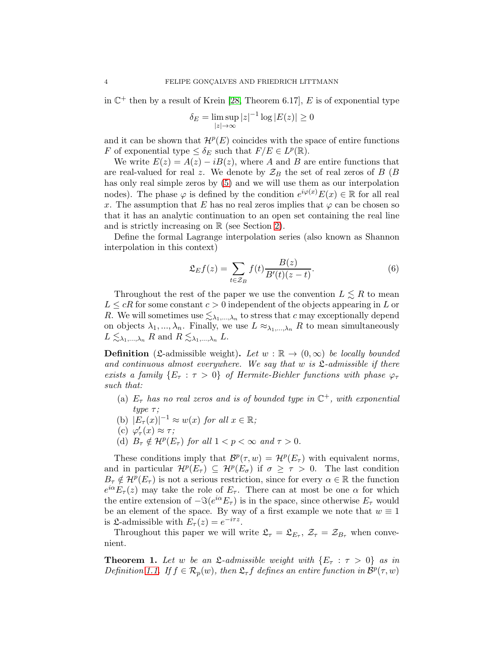in  $\mathbb{C}^+$  then by a result of Krein [\[28,](#page-14-13) Theorem 6.17], E is of exponential type

$$
\delta_E = \limsup_{|z| \to \infty} |z|^{-1} \log |E(z)| \ge 0
$$

and it can be shown that  $\mathcal{H}^p(E)$  coincides with the space of entire functions F of exponential type  $\leq \delta_E$  such that  $F/E \in L^p(\mathbb{R})$ .

We write  $E(z) = A(z) - iB(z)$ , where A and B are entire functions that are real-valued for real z. We denote by  $\mathcal{Z}_B$  the set of real zeros of B (B) has only real simple zeros by [\(5\)](#page-2-1) and we will use them as our interpolation nodes). The phase  $\varphi$  is defined by the condition  $e^{i\varphi(x)}E(x) \in \mathbb{R}$  for all real x. The assumption that E has no real zeros implies that  $\varphi$  can be chosen so that it has an analytic continuation to an open set containing the real line and is strictly increasing on  $\mathbb R$  (see Section [2\)](#page-6-0).

Define the formal Lagrange interpolation series (also known as Shannon interpolation in this context)

<span id="page-3-0"></span>
$$
\mathfrak{L}_E f(z) = \sum_{t \in \mathcal{Z}_B} f(t) \frac{B(z)}{B'(t)(z-t)}.
$$
\n(6)

Throughout the rest of the paper we use the convention  $L \leq R$  to mean  $L \leq cR$  for some constant  $c > 0$  independent of the objects appearing in L or R. We will sometimes use  $\lesssim_{\lambda_1,\dots,\lambda_n}$  to stress that c may exceptionally depend on objects  $\lambda_1, ..., \lambda_n$ . Finally, we use  $L \approx_{\lambda_1, ..., \lambda_n} R$  to mean simultaneously  $L \lesssim_{\lambda_1,\dots,\lambda_n} R$  and  $R \lesssim_{\lambda_1,\dots,\lambda_n} L$ .

**Definition** (£-admissible weight). Let  $w : \mathbb{R} \to (0, \infty)$  be locally bounded *and continuous almost everywhere. We say that* w *is* L*-admissible if there exists a family*  $\{E_\tau : \tau > 0\}$  *of Hermite-Biehler functions with phase*  $\varphi_\tau$ *such that:*

- (a)  $E_{\tau}$  *has no real zeros and is of bounded type in*  $\mathbb{C}^{+}$ *, with exponential*  $type \tau$ ;
- (b)  $|E_\tau(x)|^{-1} \approx w(x)$  *for all*  $x \in \mathbb{R}$ ;
- (c)  $\varphi'_{\tau}(x) \approx \tau$ ; τ
- (d)  $B_{\tau} \notin \mathcal{H}^p(E_{\tau})$  *for all*  $1 < p < \infty$  *and*  $\tau > 0$ *.*

These conditions imply that  $\mathcal{B}^p(\tau,w) = \mathcal{H}^p(E_\tau)$  with equivalent norms, and in particular  $\mathcal{H}^p(E_\tau) \subseteq \mathcal{H}^p(E_\sigma)$  if  $\sigma \geq \tau > 0$ . The last condition  $B_{\tau} \notin H^p(E_{\tau})$  is not a serious restriction, since for every  $\alpha \in \mathbb{R}$  the function  $e^{i\alpha}E_{\tau}(z)$  may take the role of  $E_{\tau}$ . There can at most be one  $\alpha$  for which the entire extension of  $-\Im(e^{i\alpha}E_{\tau})$  is in the space, since otherwise  $E_{\tau}$  would be an element of the space. By way of a first example we note that  $w \equiv 1$ is  $\mathfrak{L}$ -admissible with  $E_{\tau}(z) = e^{-i\tau z}$ .

Throughout this paper we will write  $\mathfrak{L}_{\tau} = \mathfrak{L}_{E_{\tau}}, \mathcal{Z}_{\tau} = \mathcal{Z}_{B_{\tau}}$  when convenient.

<span id="page-3-1"></span>**Theorem 1.** Let w be an  $\mathfrak{L}$ -admissible weight with  $\{E_\tau : \tau > 0\}$  as in *Definition* [1.1.](#page-3-0) If  $f \in \mathcal{R}_p(w)$ , then  $\mathfrak{L}_{\tau} f$  defines an entire function in  $\mathcal{B}^p(\tau, w)$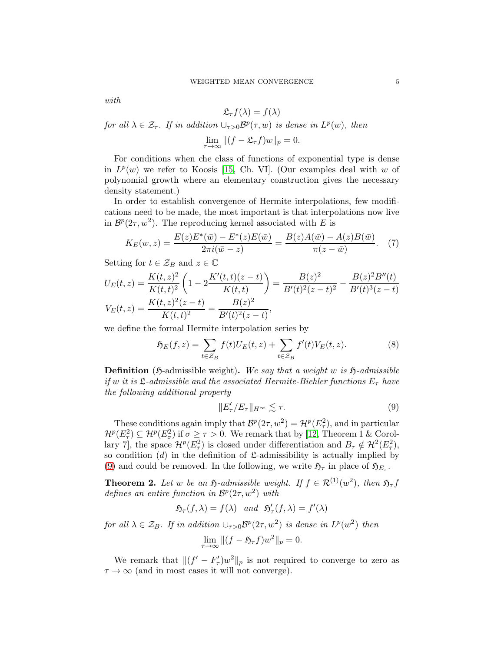*with*

<span id="page-4-3"></span>
$$
\mathfrak{L}_{\tau}f(\lambda)=f(\lambda)
$$

*for all*  $\lambda \in \mathcal{Z}_{\tau}$ *. If in addition*  $\cup_{\tau>0} \mathcal{B}^p(\tau,w)$  *is dense in*  $L^p(w)$ *, then* 

$$
\lim_{\tau \to \infty} \|(f - \mathfrak{L}_{\tau} f)w\|_p = 0.
$$

For conditions when che class of functions of exponential type is dense in  $L^p(w)$  we refer to Koosis [\[15,](#page-14-14) Ch. VI]. (Our examples deal with w of polynomial growth where an elementary construction gives the necessary density statement.)

In order to establish convergence of Hermite interpolations, few modifications need to be made, the most important is that interpolations now live in  $\mathcal{B}^p(2\tau, w^2)$ . The reproducing kernel associated with E is

$$
K_E(w, z) = \frac{E(z)E^*(\bar{w}) - E^*(z)E(\bar{w})}{2\pi i(\bar{w} - z)} = \frac{B(z)A(\bar{w}) - A(z)B(\bar{w})}{\pi(z - \bar{w})}.
$$
 (7)

Setting for  $t \in \mathcal{Z}_B$  and  $z \in \mathbb{C}$ 

$$
U_E(t, z) = \frac{K(t, z)^2}{K(t, t)^2} \left(1 - 2\frac{K'(t, t)(z - t)}{K(t, t)}\right) = \frac{B(z)^2}{B'(t)^2(z - t)^2} - \frac{B(z)^2 B''(t)}{B'(t)^3(z - t)}
$$

$$
V_E(t, z) = \frac{K(t, z)^2(z - t)}{K(t, t)^2} = \frac{B(z)^2}{B'(t)^2(z - t)},
$$

we define the formal Hermite interpolation series by

$$
\mathfrak{H}_E(f,z) = \sum_{t \in \mathcal{Z}_B} f(t) U_E(t,z) + \sum_{t \in \mathcal{Z}_B} f'(t) V_E(t,z). \tag{8}
$$

**Definition** (5-admissible weight). We say that a weight w is  $\mathfrak{H}$ -admissible *if* w *it is*  $\mathfrak{L}$ -admissible and the associated Hermite-Biehler functions  $E_{\tau}$  *have the following additional property*

<span id="page-4-2"></span><span id="page-4-0"></span>
$$
||E'_{\tau}/E_{\tau}||_{H^{\infty}} \lesssim \tau.
$$
 (9)

These conditions again imply that  $\mathcal{B}^p(2\tau,w^2) = \mathcal{H}^p(E_\tau^2)$ , and in particular  $\mathcal{H}^p(E_\tau^2) \subseteq \mathcal{H}^p(E_\sigma^2)$  if  $\sigma \geq \tau > 0$ . We remark that by [\[12,](#page-14-15) Theorem 1 & Corollary 7, the space  $\mathcal{H}^p(E_\tau^2)$  is closed under differentiation and  $B_\tau \notin \mathcal{H}^2(E_\tau^2)$ , so condition  $(d)$  in the definition of  $\mathfrak{L}$ -admissibility is actually implied by [\(9\)](#page-4-2) and could be removed. In the following, we write  $\mathfrak{H}_{\tau}$  in place of  $\mathfrak{H}_{E_{\tau}}$ .

<span id="page-4-1"></span>**Theorem 2.** Let w be an  $\mathfrak{H}$ -admissible weight. If  $f \in \mathcal{R}^{(1)}(w^2)$ , then  $\mathfrak{H}_{\tau}f$ *defines an entire function in*  $\mathcal{B}^p(2\tau,w^2)$  *with* 

$$
\mathfrak{H}_{\tau}(f,\lambda)=f(\lambda)\quad and\quad \mathfrak{H}'_{\tau}(f,\lambda)=f'(\lambda)
$$

*for all*  $\lambda \in \mathcal{Z}_B$ *. If in addition*  $\cup_{\tau>0} \mathcal{B}^p(2\tau,w^2)$  *is dense in*  $L^p(w^2)$  *then* 

$$
\lim_{\tau \to \infty} \|(f - \mathfrak{H}_{\tau}f)w^2\|_p = 0.
$$

We remark that  $\|(f' - F'_{\tau})w^2\|_p$  is not required to converge to zero as  $\tau \to \infty$  (and in most cases it will not converge).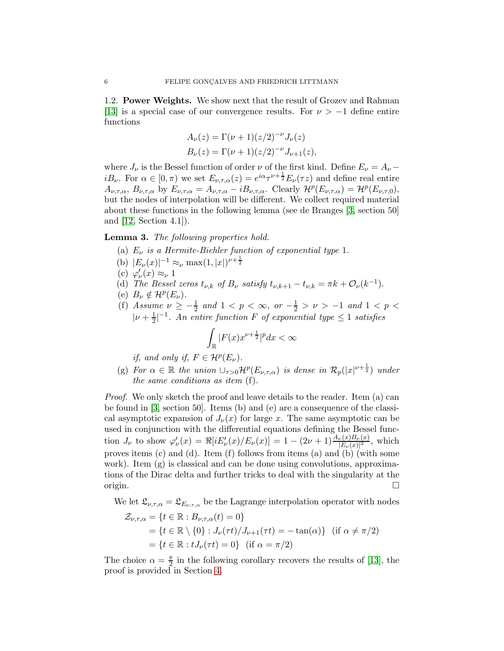1.2. Power Weights. We show next that the result of Grozev and Rahman [\[13\]](#page-14-12) is a special case of our convergence results. For  $\nu > -1$  define entire functions

$$
A_{\nu}(z) = \Gamma(\nu + 1)(z/2)^{-\nu} J_{\nu}(z)
$$
  
\n
$$
B_{\nu}(z) = \Gamma(\nu + 1)(z/2)^{-\nu} J_{\nu+1}(z),
$$

where  $J_{\nu}$  is the Bessel function of order  $\nu$  of the first kind. Define  $E_{\nu} = A_{\nu}$ *iB*<sub>v</sub>. For  $\alpha \in [0, \pi)$  we set  $E_{\nu, \tau, \alpha}(z) = e^{i\alpha} \tau^{\nu + \frac{1}{2}} E_{\nu}(\tau z)$  and define real entire  $A_{\nu,\tau,\alpha}, B_{\nu,\tau,\alpha}$  by  $E_{\nu,\tau,\alpha} = A_{\nu,\tau,\alpha} - iB_{\nu,\tau,\alpha}$ . Clearly  $\mathcal{H}^p(E_{\nu,\tau,\alpha}) = \mathcal{H}^p(E_{\nu,\tau,0}),$ but the nodes of interpolation will be different. We collect required material about these functions in the following lemma (see de Branges [\[3,](#page-13-0) section 50] and [\[12,](#page-14-15) Section 4.1]).

<span id="page-5-0"></span>Lemma 3. *The following properties hold.*

- (a)  $E_{\nu}$  *is a Hermite-Biehler function of exponential type* 1.
- (b)  $|E_{\nu}(x)|^{-1} \approx_{\nu} \max(1, |x|)^{\nu + \frac{1}{2}}$
- (c)  $\varphi'_\nu(x) \approx_\nu 1$
- (d) *The Bessel zeros*  $t_{\nu,k}$  *of*  $B_{\nu}$  *satisfy*  $t_{\nu,k+1} t_{\nu,k} = \pi k + \mathcal{O}_{\nu}(k^{-1})$ .
- (e)  $B_{\nu} \notin H^p(E_{\nu})$ .
- (f) *Assume*  $\nu \ge -\frac{1}{2}$  and  $1 < p < \infty$ , or  $-\frac{1}{2} > \nu > -1$  and  $1 < p < \infty$  $|\nu + \frac{1}{2}|^{-1}$ . An entire function F of exponential type  $\leq 1$  satisfies

$$
\int_{\mathbb{R}} |F(x)x^{\nu+\frac{1}{2}}|^p dx < \infty
$$

*if, and only if,*  $F \in \mathcal{H}^p(E_\nu)$ *.* 

(g) For  $\alpha \in \mathbb{R}$  the union  $\cup_{\tau>0} H^p(E_{\nu,\tau,\alpha})$  is dense in  $\mathcal{R}_p(|x|^{\nu+\frac{1}{2}})$  under *the same conditions as item* (f)*.*

*Proof.* We only sketch the proof and leave details to the reader. Item (a) can be found in [\[3,](#page-13-0) section 50]. Items (b) and (e) are a consequence of the classical asymptotic expansion of  $J_{\nu}(x)$  for large x. The same asymptotic can be used in conjunction with the differential equations defining the Bessel function  $J_{\nu}$  to show  $\varphi'_{\nu}(x) = \Re[iE'_{\nu}(x)/E_{\nu}(x)] = 1 - (2\nu + 1) \frac{A_{\nu}(x)B_{\nu}(x)}{|E_{\nu}(x)|^2}$ , which proves items (c) and (d). Item (f) follows from items (a) and (b) (with some work). Item  $(g)$  is classical and can be done using convolutions, approximations of the Dirac delta and further tricks to deal with the singularity at the origin.  $\square$ 

We let  $\mathfrak{L}_{\nu,\tau,\alpha} = \mathfrak{L}_{E_{\nu,\tau,\alpha}}$  be the Lagrange interpolation operator with nodes  $\mathcal{Z}_{\nu,\tau,\alpha} = \{t \in \mathbb{R} : B_{\nu,\tau,\alpha}(t) = 0\}$  $=\{t \in \mathbb{R} \setminus \{0\} : J_{\nu}(\tau t)/J_{\nu+1}(\tau t) = -\tan(\alpha)\}\$  (if  $\alpha \neq \pi/2$ )  $=\{t \in \mathbb{R} : tJ_{\nu}(\tau t) = 0\}$  (if  $\alpha = \pi/2$ )

The choice  $\alpha = \frac{\pi}{2}$  $\frac{\pi}{2}$  in the following corollary recovers the results of [\[13\]](#page-14-12), the proof is provided in Section [4.](#page-12-0)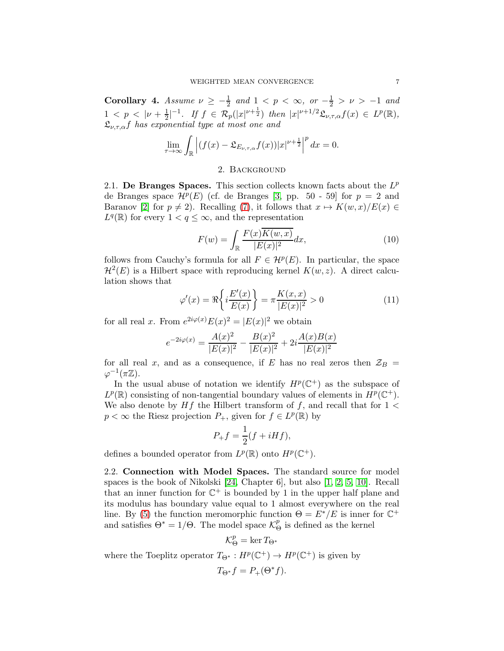<span id="page-6-3"></span>**Corollary 4.** Assume  $\nu \geq -\frac{1}{2}$  and  $1 \leq p \leq \infty$ , or  $-\frac{1}{2} > \nu > -1$  and  $1 < p < |\nu + \frac{1}{2}|$  $\frac{1}{2}$ |<sup>-1</sup>. If  $f \in \mathcal{R}_p(|x|^{\nu+\frac{1}{2}})$  then  $|x|^{\nu+1/2} \mathfrak{L}_{\nu,\tau,\alpha} f(x) \in L^p(\mathbb{R}),$ Lν,τ,αf *has exponential type at most one and*

$$
\lim_{\tau \to \infty} \int_{\mathbb{R}} \left| (f(x) - \mathfrak{L}_{E_{\nu,\tau,\alpha}} f(x)) |x|^{\nu+\frac{1}{2}} \right|^{p} dx = 0.
$$

# <span id="page-6-1"></span>2. Background

<span id="page-6-0"></span>2.1. De Branges Spaces. This section collects known facts about the  $L^p$ de Branges space  $\mathcal{H}^p(E)$  (cf. de Branges [\[3,](#page-13-0) pp. 50 - 59] for  $p = 2$  and Baranov [\[2\]](#page-13-2) for  $p \neq 2$ ). Recalling [\(7\)](#page-4-3), it follows that  $x \mapsto K(w, x)/E(x) \in$  $L^q(\mathbb{R})$  for every  $1 < q \leq \infty$ , and the representation

<span id="page-6-2"></span>
$$
F(w) = \int_{\mathbb{R}} \frac{F(x)\overline{K(w,x)}}{|E(x)|^2} dx,
$$
\n(10)

follows from Cauchy's formula for all  $F \in \mathcal{H}^p(E)$ . In particular, the space  $\mathcal{H}^2(E)$  is a Hilbert space with reproducing kernel  $K(w, z)$ . A direct calculation shows that

$$
\varphi'(x) = \Re\left\{i\frac{E'(x)}{E(x)}\right\} = \pi \frac{K(x,x)}{|E(x)|^2} > 0\tag{11}
$$

for all real x. From  $e^{2i\varphi(x)}E(x)^2 = |E(x)|^2$  we obtain

$$
e^{-2i\varphi(x)} = \frac{A(x)^2}{|E(x)|^2} - \frac{B(x)^2}{|E(x)|^2} + 2i\frac{A(x)B(x)}{|E(x)|^2}
$$

for all real x, and as a consequence, if E has no real zeros then  $\mathcal{Z}_B$  =  $\varphi^{-1}(\pi \mathbb{Z}).$ 

In the usual abuse of notation we identify  $H^p(\mathbb{C}^+)$  as the subspace of  $L^p(\mathbb{R})$  consisting of non-tangential boundary values of elements in  $H^p(\mathbb{C}^+)$ . We also denote by  $Hf$  the Hilbert transform of f, and recall that for 1 <  $p < \infty$  the Riesz projection  $P_+$ , given for  $f \in L^p(\mathbb{R})$  by

$$
P_+f = \frac{1}{2}(f + iHf),
$$

defines a bounded operator from  $L^p(\mathbb{R})$  onto  $H^p(\mathbb{C}^+)$ .

2.2. Connection with Model Spaces. The standard source for model spaces is the book of Nikolski [\[24,](#page-14-16) Chapter 6], but also [\[1,](#page-13-3) [2,](#page-13-2) [5,](#page-13-4) [10\]](#page-14-17). Recall that an inner function for  $\mathbb{C}^+$  is bounded by 1 in the upper half plane and its modulus has boundary value equal to 1 almost everywhere on the real line. By [\(5\)](#page-2-1) the function meromorphic function  $\Theta = E^* / E$  is inner for  $\mathbb{C}^+$ and satisfies  $\Theta^* = 1/\Theta$ . The model space  $\mathcal{K}_{\Theta}^p$  $\stackrel{p}{\Theta}$  is defined as the kernel

$$
\mathcal{K}_\Theta^p = \ker T_{\Theta^*}
$$

where the Toeplitz operator  $T_{\Theta^*}: H^p(\mathbb{C}^+) \to H^p(\mathbb{C}^+)$  is given by

$$
T_{\Theta^*}f = P_+(\Theta^*f).
$$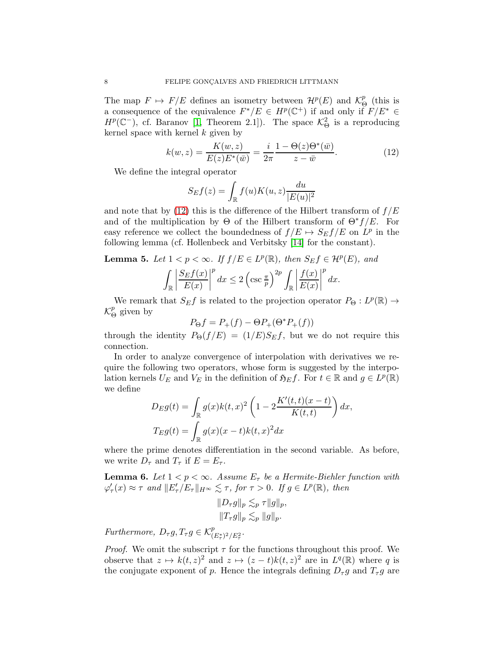The map  $F \mapsto F/E$  defines an isometry between  $\mathcal{H}^p(E)$  and  $\mathcal{K}^p_{\epsilon}$  $\stackrel{p}{\Theta}$  (this is a consequence of the equivalence  $F^*/E \in H^p(\mathbb{C}^+)$  if and only if  $F/E^* \in$  $H^p(\mathbb{C}^-)$ , cf. Baranov [\[1,](#page-13-3) Theorem 2.1]). The space  $\mathcal{K}^2_{\Theta}$  is a reproducing kernel space with kernel  $k$  given by

$$
k(w, z) = \frac{K(w, z)}{E(z)E^*(\bar{w})} = \frac{i}{2\pi} \frac{1 - \Theta(z)\Theta^*(\bar{w})}{z - \bar{w}}.
$$
 (12)

We define the integral operator

<span id="page-7-0"></span>
$$
S_E f(z) = \int_{\mathbb{R}} f(u)K(u, z) \frac{du}{|E(u)|^2}
$$

and note that by [\(12\)](#page-7-0) this is the difference of the Hilbert transform of  $f/E$ and of the multiplication by  $\Theta$  of the Hilbert transform of  $\Theta^* f/E$ . For easy reference we collect the boundedness of  $f/E \rightarrow S_E f/E$  on  $L^p$  in the following lemma (cf. Hollenbeck and Verbitsky [\[14\]](#page-14-18) for the constant).

<span id="page-7-1"></span>**Lemma 5.** Let  $1 < p < \infty$ . If  $f/E \in L^p(\mathbb{R})$ , then  $S_E f \in H^p(E)$ , and

$$
\int_{\mathbb{R}} \left| \frac{S_E f(x)}{E(x)} \right|^p dx \le 2 \left( \csc \frac{\pi}{p} \right)^{2p} \int_{\mathbb{R}} \left| \frac{f(x)}{E(x)} \right|^p dx.
$$

We remark that  $S_E f$  is related to the projection operator  $P_{\Theta}: L^p(\mathbb{R}) \to$  $\mathcal{K}^p_{\epsilon}$  $\frac{p}{\Theta}$  given by

$$
P_{\Theta}f = P_{+}(f) - \Theta P_{+}(\Theta^* P_{+}(f))
$$

through the identity  $P_{\Theta}(f/E) = (1/E)S_E f$ , but we do not require this connection.

In order to analyze convergence of interpolation with derivatives we require the following two operators, whose form is suggested by the interpolation kernels  $U_E$  and  $V_E$  in the definition of  $\mathfrak{H}_E f$ . For  $t \in \mathbb{R}$  and  $g \in L^p(\mathbb{R})$ we define

$$
D_E g(t) = \int_{\mathbb{R}} g(x)k(t,x)^2 \left(1 - 2\frac{K'(t,t)(x-t)}{K(t,t)}\right) dx,
$$
  
\n
$$
T_E g(t) = \int_{\mathbb{R}} g(x)(x-t)k(t,x)^2 dx
$$

where the prime denotes differentiation in the second variable. As before, we write  $D_{\tau}$  and  $T_{\tau}$  if  $E = E_{\tau}$ .

<span id="page-7-2"></span>**Lemma 6.** Let  $1 < p < \infty$ . Assume  $E_{\tau}$  be a Hermite-Biehler function with  $\varphi_{\tau}'(x) \approx \tau$  and  $||E_{\tau}'/E_{\tau}||_{H^{\infty}} \lesssim \tau$ , for  $\tau > 0$ . If  $g \in L^{p}(\mathbb{R})$ , then

$$
||D_{\tau}g||_{p} \lesssim_{p} \tau ||g||_{p},
$$
  

$$
||T_{\tau}g||_{p} \lesssim_{p} ||g||_{p}.
$$

*Furthermore,*  $D_{\tau}g$ ,  $T_{\tau}g \in \mathcal{K}_{(E_{\tau}^{*})^{2}/E_{\tau}^{2}}^{p}$ .

*Proof.* We omit the subscript  $\tau$  for the functions throughout this proof. We observe that  $z \mapsto k(t, z)^2$  and  $z \mapsto (z - t)k(t, z)^2$  are in  $L^q(\mathbb{R})$  where q is the conjugate exponent of p. Hence the integrals defining  $D_{\tau}g$  and  $T_{\tau}g$  are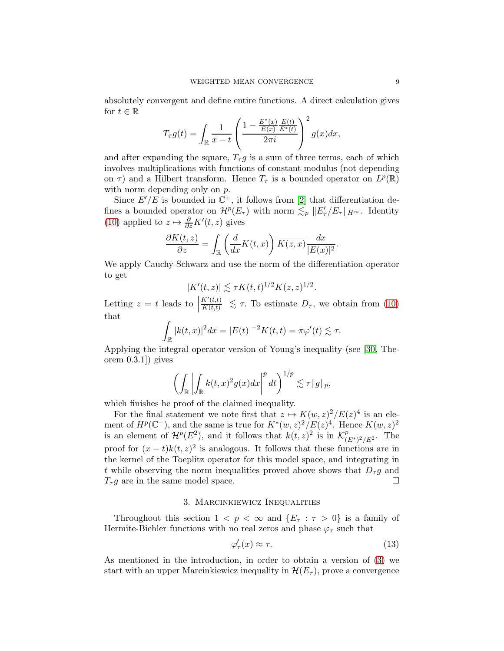absolutely convergent and define entire functions. A direct calculation gives for  $t \in \mathbb{R}$ 

$$
T_{\tau}g(t) = \int_{\mathbb{R}} \frac{1}{x - t} \left( \frac{1 - \frac{E^*(x)}{E(x)} \frac{E(t)}{E^*(t)}}{2\pi i} \right)^2 g(x) dx,
$$

and after expanding the square,  $T_{\tau}g$  is a sum of three terms, each of which involves multiplications with functions of constant modulus (not depending on  $\tau$ ) and a Hilbert transform. Hence  $T_{\tau}$  is a bounded operator on  $L^p(\mathbb{R})$ with norm depending only on  $p$ .

Since  $E'/E$  is bounded in  $\mathbb{C}^+$ , it follows from [\[2\]](#page-13-2) that differentiation defines a bounded operator on  $\mathcal{H}^p(E_\tau)$  with norm  $\lesssim_p ||E'_\tau/E_\tau||_{H^\infty}$ . Identity [\(10\)](#page-6-1) applied to  $z \mapsto \frac{\partial}{\partial z} K'(t, z)$  gives

$$
\frac{\partial K(t,z)}{\partial z} = \int_{\mathbb{R}} \left( \frac{d}{dx} K(t,x) \right) \overline{K(z,x)} \frac{dx}{|E(x)|^2}.
$$

We apply Cauchy-Schwarz and use the norm of the differentiation operator to get

$$
|K'(t,z)| \lesssim \tau K(t,t)^{1/2} K(z,z)^{1/2}.
$$

Letting  $z = t$  leads to  $\Big|$  $K'(t,t)$  $\left|\frac{K'(t,t)}{K(t,t)}\right| \lesssim \tau$ . To estimate  $D_{\tau}$ , we obtain from [\(10\)](#page-6-1) that

$$
\int_{\mathbb{R}} |k(t,x)|^2 dx = |E(t)|^{-2} K(t,t) = \pi \varphi'(t) \lesssim \tau.
$$

Applying the integral operator version of Young's inequality (see [\[30,](#page-15-4) Theorem 0.3.1]) gives

$$
\left(\int_{\mathbb{R}}\left|\int_{\mathbb{R}}k(t,x)^{2}g(x)dx\right|^{p}dt\right)^{1/p}\lesssim\tau\|g\|_{p},
$$

which finishes he proof of the claimed inequality.

For the final statement we note first that  $z \mapsto K(w, z)^2 / E(z)^4$  is an element of  $H^p(\mathbb{C}^+)$ , and the same is true for  $K^*(w, z)^2/E(z)^4$ . Hence  $K(w, z)^2$ is an element of  $\mathcal{H}^p(E^2)$ , and it follows that  $k(t,z)^2$  is in  $\mathcal{K}^p_{(E^*)^2/E^2}$ . The proof for  $(x - t)k(t, z)^2$  is analogous. It follows that these functions are in the kernel of the Toeplitz operator for this model space, and integrating in t while observing the norm inequalities proved above shows that  $D_{\tau}g$  and  $T_{\tau}g$  are in the same model space.

# 3. Marcinkiewicz Inequalities

<span id="page-8-0"></span>Throughout this section  $1 < p < \infty$  and  $\{E_\tau : \tau > 0\}$  is a family of Hermite-Biehler functions with no real zeros and phase  $\varphi_{\tau}$  such that

<span id="page-8-1"></span>
$$
\varphi_{\tau}'(x) \approx \tau. \tag{13}
$$

As mentioned in the introduction, in order to obtain a version of [\(3\)](#page-1-0) we start with an upper Marcinkiewicz inequality in  $\mathcal{H}(E_{\tau})$ , prove a convergence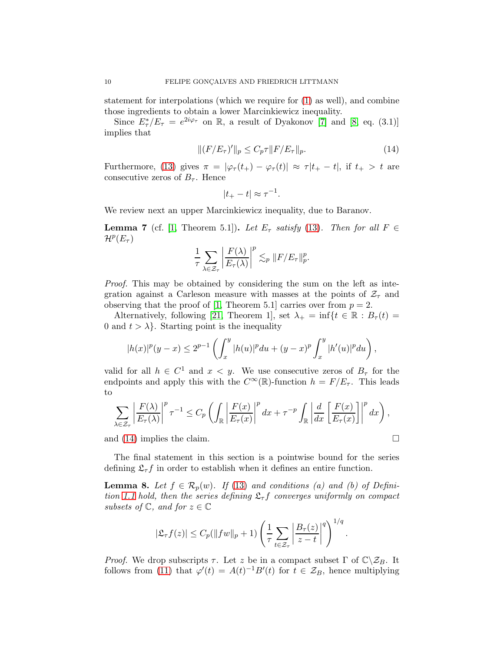statement for interpolations (which we require for [\(1\)](#page-0-0) as well), and combine those ingredients to obtain a lower Marcinkiewicz inequality.

Since  $E^*_{\tau}/E_{\tau} = e^{2i\varphi_{\tau}}$  on R, a result of Dyakonov [\[7\]](#page-14-19) and [\[8,](#page-14-20) eq. (3.1)] implies that

$$
||(F/E_{\tau})'||_p \le C_p \tau ||F/E_{\tau}||_p.
$$
\n(14)

Furthermore, [\(13\)](#page-8-1) gives  $\pi = |\varphi_\tau(t_+) - \varphi_\tau(t)| \approx \tau |t_+ - t|$ , if  $t_+ > t$  are consecutive zeros of  $B_{\tau}$ . Hence

<span id="page-9-0"></span>
$$
|t_{+}-t| \approx \tau^{-1}.
$$

We review next an upper Marcinkiewicz inequality, due to Baranov.

<span id="page-9-1"></span>**Lemma 7** (cf. [\[1,](#page-13-3) Theorem 5.1]). *Let*  $E_{\tau}$  *satisfy* [\(13\)](#page-8-1). *Then for all*  $F \in$  $\mathcal{H}^p(E_\tau)$ 

$$
\frac{1}{\tau}\sum_{\lambda\in\mathcal{Z}_{\tau}}\left|\frac{F(\lambda)}{E_{\tau}(\lambda)}\right|^{p}\lesssim_{p}\|F/E_{\tau}\|_{p}^{p}.
$$

*Proof.* This may be obtained by considering the sum on the left as integration against a Carleson measure with masses at the points of  $\mathcal{Z}_{\tau}$  and observing that the proof of [\[1,](#page-13-3) Theorem 5.1] carries over from  $p = 2$ .

Alternatively, following [\[21,](#page-14-5) Theorem 1], set  $\lambda_+ = \inf\{t \in \mathbb{R} : B_{\tau}(t) =$ 0 and  $t > \lambda$ . Starting point is the inequality

$$
|h(x)|^{p}(y-x) \leq 2^{p-1} \left( \int_{x}^{y} |h(u)|^{p} du + (y-x)^{p} \int_{x}^{y} |h'(u)|^{p} du \right),
$$

valid for all  $h \in C^1$  and  $x < y$ . We use consecutive zeros of  $B_{\tau}$  for the endpoints and apply this with the  $C^{\infty}(\mathbb{R})$ -function  $h = F/E_{\tau}$ . This leads to

$$
\sum_{\lambda \in \mathcal{Z}_{\tau}} \left| \frac{F(\lambda)}{E_{\tau}(\lambda)} \right|^p \tau^{-1} \leq C_p \left( \int_{\mathbb{R}} \left| \frac{F(x)}{E_{\tau}(x)} \right|^p dx + \tau^{-p} \int_{\mathbb{R}} \left| \frac{d}{dx} \left[ \frac{F(x)}{E_{\tau}(x)} \right] \right|^p dx \right),
$$

and [\(14\)](#page-9-0) implies the claim.

The final statement in this section is a pointwise bound for the series defining  $\mathfrak{L}_{\tau}f$  in order to establish when it defines an entire function.

<span id="page-9-2"></span>**Lemma 8.** Let  $f \in \mathcal{R}_p(w)$ . If [\(13\)](#page-8-1) and conditions (a) and (b) of Defini*tion* [1.1](#page-3-0) *hold, then the series defining*  $\mathfrak{L}_{\tau}f$  *converges uniformly on compact subsets of*  $\mathbb{C}$ *, and for*  $z \in \mathbb{C}$ 

$$
|\mathfrak{L}_{\tau}f(z)| \leq C_p(||fw||_p + 1) \left(\frac{1}{\tau} \sum_{t \in \mathcal{Z}_{\tau}} \left|\frac{B_{\tau}(z)}{z-t}\right|^q\right)^{1/q}.
$$

*Proof.* We drop subscripts  $\tau$ . Let z be in a compact subset  $\Gamma$  of  $\mathbb{C}\setminus\mathcal{Z}_B$ . It follows from [\(11\)](#page-6-2) that  $\varphi'(t) = A(t)^{-1}B'(t)$  for  $t \in \mathcal{Z}_B$ , hence multiplying

$$
\Box
$$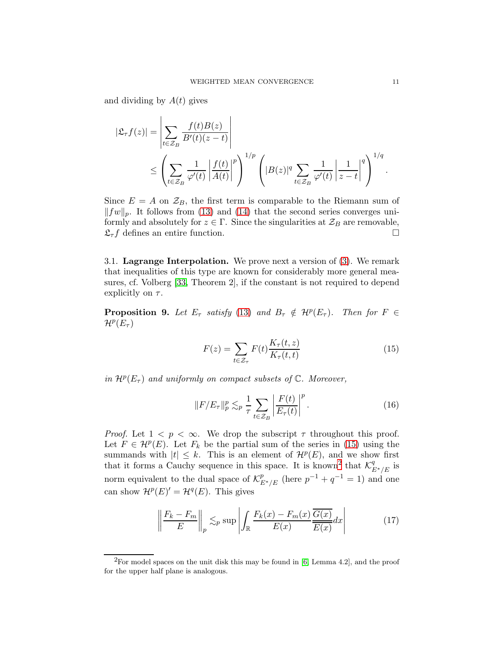and dividing by  $A(t)$  gives

$$
|\mathfrak{L}_{\tau}f(z)| = \left| \sum_{t \in \mathcal{Z}_B} \frac{f(t)B(z)}{B'(t)(z-t)} \right|
$$
  
 
$$
\leq \left( \sum_{t \in \mathcal{Z}_B} \frac{1}{\varphi'(t)} \left| \frac{f(t)}{A(t)} \right|^p \right)^{1/p} \left( |B(z)|^q \sum_{t \in \mathcal{Z}_B} \frac{1}{\varphi'(t)} \left| \frac{1}{z-t} \right|^q \right)^{1/q}.
$$

Since  $E = A$  on  $\mathcal{Z}_B$ , the first term is comparable to the Riemann sum of  $||fw||_p$ . It follows from [\(13\)](#page-8-1) and [\(14\)](#page-9-0) that the second series converges uniformly and absolutely for  $z \in \Gamma$ . Since the singularities at  $\mathcal{Z}_B$  are removable,  $\mathfrak{L}_{\tau}f$  defines an entire function.

3.1. Lagrange Interpolation. We prove next a version of [\(3\)](#page-1-0). We remark that inequalities of this type are known for considerably more general measures, cf. Volberg [\[33,](#page-15-5) Theorem 2], if the constant is not required to depend explicitly on  $\tau$ .

<span id="page-10-4"></span>**Proposition 9.** Let  $E_{\tau}$  satisfy [\(13\)](#page-8-1) and  $B_{\tau} \notin H^p(E_{\tau})$ . Then for  $F \in$  $\mathcal{H}^p(E_\tau)$ 

<span id="page-10-3"></span><span id="page-10-0"></span>
$$
F(z) = \sum_{t \in \mathcal{Z}_{\tau}} F(t) \frac{K_{\tau}(t, z)}{K_{\tau}(t, t)} \tag{15}
$$

*in*  $\mathcal{H}^p(E_\tau)$  *and uniformly on compact subsets of*  $\mathbb{C}$ *. Moreover,* 

<span id="page-10-2"></span>
$$
||F/E_{\tau}||_p^p \lesssim_p \frac{1}{\tau} \sum_{t \in \mathcal{Z}_B} \left| \frac{F(t)}{E_{\tau}(t)} \right|^p.
$$
 (16)

*Proof.* Let  $1 < p < \infty$ . We drop the subscript  $\tau$  throughout this proof. Let  $F \in \mathcal{H}^p(E)$ . Let  $F_k$  be the partial sum of the series in [\(15\)](#page-10-0) using the summands with  $|t| \leq k$ . This is an element of  $\mathcal{H}^p(E)$ , and we show first that it forms a Cauchy sequence in this space. It is known<sup>[2](#page-10-1)</sup> that  $\mathcal{K}^q_{E^*/E}$  is norm equivalent to the dual space of  $\mathcal{K}_{E^*/E}^p$  (here  $p^{-1} + q^{-1} = 1$ ) and one can show  $\mathcal{H}^p(E)' = \mathcal{H}^q(E)$ . This gives

$$
\left\| \frac{F_k - F_m}{E} \right\|_p \lesssim_p \sup \left| \int_{\mathbb{R}} \frac{F_k(x) - F_m(x)}{E(x)} \frac{\overline{G(x)}}{E(x)} dx \right| \tag{17}
$$

<span id="page-10-1"></span> ${}^{2}$ For model spaces on the unit disk this may be found in [\[6,](#page-14-21) Lemma 4.2], and the proof for the upper half plane is analogous.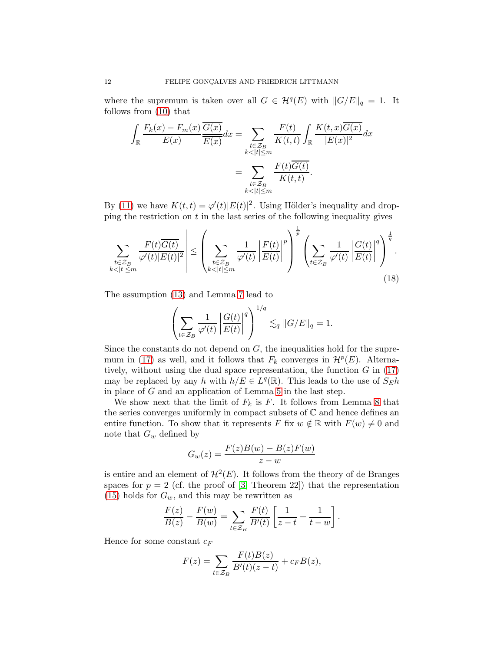where the supremum is taken over all  $G \in \mathcal{H}^q(E)$  with  $||G/E||_q = 1$ . It follows from [\(10\)](#page-6-1) that

$$
\int_{\mathbb{R}} \frac{F_k(x) - F_m(x)}{E(x)} \frac{\overline{G(x)}}{\overline{E(x)}} dx = \sum_{\substack{t \in \mathcal{Z}_B \\ k < |t| \le m}} \frac{F(t)}{K(t, t)} \int_{\mathbb{R}} \frac{K(t, x) \overline{G(x)}}{|E(x)|^2} dx
$$
\n
$$
= \sum_{\substack{t \in \mathcal{Z}_B \\ k < |t| \le m}} \frac{F(t) \overline{G(t)}}{K(t, t)}.
$$

By [\(11\)](#page-6-2) we have  $K(t,t) = \varphi'(t)|E(t)|^2$ . Using Hölder's inequality and dropping the restriction on  $t$  in the last series of the following inequality gives

$$
\left| \sum_{\substack{t \in \mathcal{Z}_B \\ k < |t| \le m}} \frac{F(t)\overline{G(t)}}{\varphi'(t)|E(t)|^2} \right| \le \left( \sum_{\substack{t \in \mathcal{Z}_B \\ k < |t| \le m}} \frac{1}{\varphi'(t)} \left| \frac{F(t)}{E(t)} \right|^p \right)^{\frac{1}{p}} \left( \sum_{t \in \mathcal{Z}_B} \frac{1}{\varphi'(t)} \left| \frac{G(t)}{E(t)} \right|^q \right)^{\frac{1}{q}}.
$$
\n(18)

The assumption [\(13\)](#page-8-1) and Lemma [7](#page-9-1) lead to

<span id="page-11-0"></span>
$$
\left(\sum_{t\in\mathcal{Z}_B}\frac{1}{\varphi'(t)}\left|\frac{G(t)}{E(t)}\right|^q\right)^{1/q}\lesssim_q \|G/E\|_q=1.
$$

Since the constants do not depend on  $G$ , the inequalities hold for the supre-mum in [\(17\)](#page-10-2) as well, and it follows that  $F_k$  converges in  $\mathcal{H}^p(E)$ . Alternatively, without using the dual space representation, the function  $G$  in  $(17)$ may be replaced by any h with  $h/E \in L^q(\mathbb{R})$ . This leads to the use of  $S_E h$ in place of G and an application of Lemma [5](#page-7-1) in the last step.

We show next that the limit of  $F_k$  is F. It follows from Lemma [8](#page-9-2) that the series converges uniformly in compact subsets of  $\mathbb C$  and hence defines an entire function. To show that it represents F fix  $w \notin \mathbb{R}$  with  $F(w) \neq 0$  and note that  $G_w$  defined by

$$
G_w(z) = \frac{F(z)B(w) - B(z)F(w)}{z - w}
$$

is entire and an element of  $\mathcal{H}^2(E)$ . It follows from the theory of de Branges spaces for  $p = 2$  (cf. the proof of [\[3,](#page-13-0) Theorem 22]) that the representation  $(15)$  holds for  $G_w$ , and this may be rewritten as

$$
\frac{F(z)}{B(z)} - \frac{F(w)}{B(w)} = \sum_{t \in \mathcal{Z}_B} \frac{F(t)}{B'(t)} \left[ \frac{1}{z-t} + \frac{1}{t-w} \right].
$$

Hence for some constant  $c_F$ 

$$
F(z) = \sum_{t \in \mathcal{Z}_B} \frac{F(t)B(z)}{B'(t)(z-t)} + c_F B(z),
$$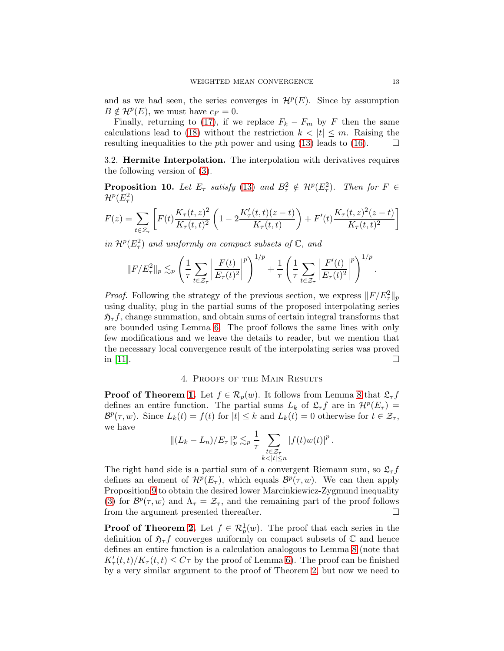and as we had seen, the series converges in  $\mathcal{H}^p(E)$ . Since by assumption  $B \notin H^p(E)$ , we must have  $c_F = 0$ .

Finally, returning to [\(17\)](#page-10-2), if we replace  $F_k - F_m$  by F then the same calculations lead to [\(18\)](#page-11-0) without the restriction  $k < |t| \leq m$ . Raising the resulting inequalities to the pth power and using [\(13\)](#page-8-1) leads to [\(16\)](#page-10-3).  $\Box$ 

3.2. Hermite Interpolation. The interpolation with derivatives requires the following version of [\(3\)](#page-1-0).

<span id="page-12-1"></span>**Proposition 10.** Let  $E_{\tau}$  satisfy [\(13\)](#page-8-1) and  $B_{\tau}^2 \notin H^p(E_{\tau}^2)$ . Then for  $F \in$  $\mathcal{H}^p(E_\tau^2)$ 

$$
F(z) = \sum_{t \in \mathcal{Z}_{\tau}} \left[ F(t) \frac{K_{\tau}(t, z)^2}{K_{\tau}(t, t)^2} \left( 1 - 2 \frac{K_{\tau}'(t, t)(z - t)}{K_{\tau}(t, t)} \right) + F'(t) \frac{K_{\tau}(t, z)^2 (z - t)}{K_{\tau}(t, t)^2} \right]
$$

*in*  $\mathcal{H}^p(E_\tau^2)$  *and uniformly on compact subsets of*  $\mathbb{C}$ *, and* 

$$
||F/E_{\tau}^{2}||_{p} \lesssim_{p} \left(\frac{1}{\tau} \sum_{t \in \mathcal{Z}_{\tau}} \left| \frac{F(t)}{E_{\tau}(t)^{2}} \right|^{p} \right)^{1/p} + \frac{1}{\tau} \left(\frac{1}{\tau} \sum_{t \in \mathcal{Z}_{\tau}} \left| \frac{F'(t)}{E_{\tau}(t)^{2}} \right|^{p} \right)^{1/p}.
$$

*Proof.* Following the strategy of the previous section, we express  $||F/E_\tau^2||_p$ using duality, plug in the partial sums of the proposed interpolating series  $\mathfrak{H}_{\tau}f$ , change summation, and obtain sums of certain integral transforms that are bounded using Lemma [6.](#page-7-2) The proof follows the same lines with only few modifications and we leave the details to reader, but we mention that the necessary local convergence result of the interpolating series was proved in [\[11\]](#page-14-22).

## 4. Proofs of the Main Results

<span id="page-12-0"></span>**Proof of Theorem [1.](#page-3-1)** Let  $f \in \mathcal{R}_p(w)$ . It follows from Lemma [8](#page-9-2) that  $\mathcal{L}_\tau f$ defines an entire function. The partial sums  $L_k$  of  $\mathfrak{L}_{\tau}f$  are in  $\mathcal{H}^p(E_{\tau})=$  $\mathcal{B}^p(\tau,w)$ . Since  $L_k(t) = f(t)$  for  $|t| \leq k$  and  $L_k(t) = 0$  otherwise for  $t \in \mathcal{Z}_{\tau}$ , we have

$$
||(L_{k}-L_{n})/E_{\tau}||_{p}^{p} \lesssim_{p} \frac{1}{\tau} \sum_{\substack{t \in \mathcal{Z}_{\tau} \\ k < |t| \leq n}} |f(t)w(t)|^{p}.
$$

The right hand side is a partial sum of a convergent Riemann sum, so  $\mathfrak{L}_{\tau} f$ defines an element of  $\mathcal{H}^p(E_\tau)$ , which equals  $\mathcal{B}^p(\tau,w)$ . We can then apply Proposition [9](#page-10-4) to obtain the desired lower Marcinkiewicz-Zygmund inequality [\(3\)](#page-1-0) for  $\mathcal{B}^p(\tau,w)$  and  $\Lambda_\tau = \mathcal{Z}_\tau$ , and the remaining part of the proof follows from the argument presented thereafter.

**Proof of Theorem [2.](#page-4-1)** Let  $f \in \mathcal{R}_p^1(w)$ . The proof that each series in the definition of  $\mathfrak{H}_{\tau}f$  converges uniformly on compact subsets of  $\mathbb C$  and hence defines an entire function is a calculation analogous to Lemma [8](#page-9-2) (note that  $K'_{\tau}(t,t)/K_{\tau}(t,t) \leq C\tau$  by the proof of Lemma [6\)](#page-7-2). The proof can be finished by a very similar argument to the proof of Theorem [2,](#page-4-1) but now we need to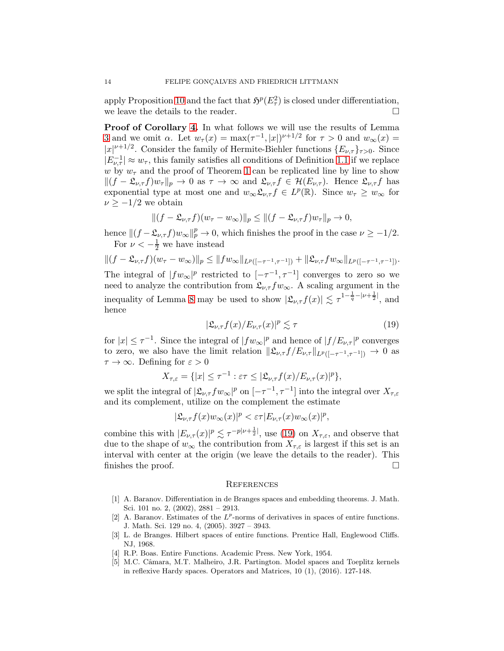apply Proposition [10](#page-12-1) and the fact that  $\mathfrak{H}^p(E_\tau^2)$  is closed under differentiation, we leave the details to the reader.  $\Box$ 

Proof of Corollary [4.](#page-6-3) In what follows we will use the results of Lemma [3](#page-5-0) and we omit  $\alpha$ . Let  $w_{\tau}(x) = \max_{\tau} (\tau^{-1}, |x|)^{\nu+1/2}$  for  $\tau > 0$  and  $w_{\infty}(x) =$  $|x|^{\nu+1/2}$ . Consider the family of Hermite-Biehler functions  $\{E_{\nu,\tau}\}_{{\tau}>0}$ . Since  $|E_{\nu,\tau}^{-1}| \approx w_{\tau}$ , this family satisfies all conditions of Definition [1.1](#page-3-0) if we replace w by  $w_{\tau}$  and the proof of Theorem [1](#page-3-1) can be replicated line by line to show  $||(f - \mathfrak{L}_{\nu,\tau}f)w_{\tau}||_p \to 0$  as  $\tau \to \infty$  and  $\mathfrak{L}_{\nu,\tau}f \in \mathcal{H}(E_{\nu,\tau})$ . Hence  $\mathfrak{L}_{\nu,\tau}f$  has exponential type at most one and  $w_{\infty} \mathfrak{L}_{\nu, \tau} f \in L^p(\mathbb{R})$ . Since  $w_{\tau} \geq w_{\infty}$  for  $\nu \geq -1/2$  we obtain

$$
||(f-\mathfrak{L}_{\nu,\tau}f)(w_{\tau}-w_{\infty})||_p \leq ||(f-\mathfrak{L}_{\nu,\tau}f)w_{\tau}||_p \to 0,
$$

hence  $||(f - \mathfrak{L}_{\nu,\tau}f)w_{\infty}||_p^p \to 0$ , which finishes the proof in the case  $\nu \ge -1/2$ . For  $\nu < -\frac{1}{2}$  we have instead

 $||(f - \mathfrak{L}_{\nu,\tau}f)(w_{\tau} - w_{\infty})||_p \leq ||fw_{\infty}||_{L^p([- \tau^{-1}, \tau^{-1}])} + ||\mathfrak{L}_{\nu,\tau}f w_{\infty}||_{L^p([- \tau^{-1}, \tau^{-1}])}.$ The integral of  $|fw_\infty|^p$  restricted to  $[-\tau^{-1}, \tau^{-1}]$  converges to zero so we need to analyze the contribution from  $\mathfrak{L}_{\nu, \tau} f w_{\infty}$ . A scaling argument in the inequality of Lemma [8](#page-9-2) may be used to show  $|\mathfrak{L}_{\nu, \tau} f(x)| \lesssim \tau^{1-\frac{1}{q}-|\nu+\frac{1}{2}|}$ , and hence

<span id="page-13-5"></span>
$$
|\mathfrak{L}_{\nu,\tau}f(x)/E_{\nu,\tau}(x)|^p \lesssim \tau \tag{19}
$$

for  $|x| \leq \tau^{-1}$ . Since the integral of  $|fw_{\infty}|^p$  and hence of  $|f/E_{\nu,\tau}|^p$  converges to zero, we also have the limit relation  $\|\mathfrak{L}_{\nu,\tau} f / E_{\nu,\tau}\|_{L^p([-{\tau}^{-1},{\tau}^{-1}])} \to 0$  as  $\tau \to \infty$ . Defining for  $\varepsilon > 0$ 

$$
X_{\tau,\varepsilon} = \{ |x| \leq \tau^{-1} : \varepsilon\tau \leq |\mathfrak{L}_{\nu,\tau}f(x)/E_{\nu,\tau}(x)|^p \},
$$

we split the integral of  $|\mathfrak{L}_{\nu,\tau} f w_{\infty}|^p$  on  $[-\tau^{-1},\tau^{-1}]$  into the integral over  $X_{\tau,\varepsilon}$ and its complement, utilize on the complement the estimate

 $|\mathfrak{L}_{\nu,\tau}f(x)w_{\infty}(x)|^p < \varepsilon \tau |E_{\nu,\tau}(x)w_{\infty}(x)|^p,$ 

combine this with  $|E_{\nu,\tau}(x)|^p \lesssim \tau^{-p|\nu+\frac{1}{2}|}$ , use [\(19\)](#page-13-5) on  $X_{\tau,\varepsilon}$ , and observe that due to the shape of  $w_{\infty}$  the contribution from  $X_{\tau,\varepsilon}$  is largest if this set is an interval with center at the origin (we leave the details to the reader). This finishes the proof.

#### **REFERENCES**

- <span id="page-13-3"></span>[1] A. Baranov. Differentiation in de Branges spaces and embedding theorems. J. Math. Sci. 101 no. 2, (2002), 2881 – 2913.
- <span id="page-13-2"></span>[2] A. Baranov. Estimates of the  $L^p$ -norms of derivatives in spaces of entire functions. J. Math. Sci. 129 no. 4, (2005). 3927 – 3943.
- <span id="page-13-0"></span>[3] L. de Branges. Hilbert spaces of entire functions. Prentice Hall, Englewood Cliffs. NJ, 1968.
- <span id="page-13-4"></span><span id="page-13-1"></span>[4] R.P. Boas. Entire Functions. Academic Press. New York, 1954.
- [5] M.C. Câmara, M.T. Malheiro, J.R. Partington. Model spaces and Toeplitz kernels in reflexive Hardy spaces. Operators and Matrices, 10 (1), (2016). 127-148.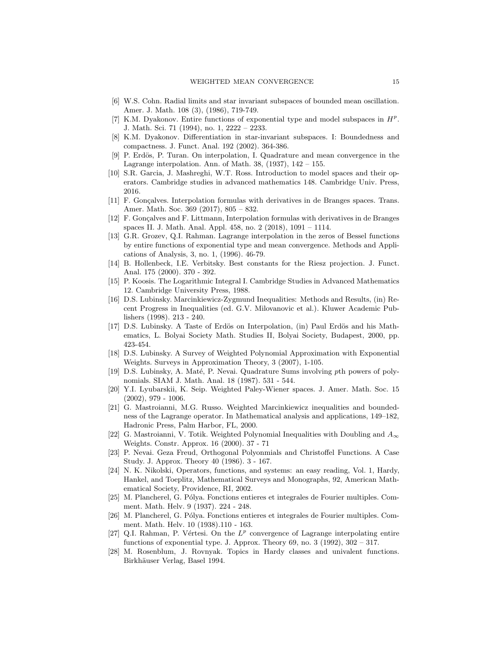- <span id="page-14-21"></span><span id="page-14-19"></span>[6] W.S. Cohn. Radial limits and star invariant subspaces of bounded mean oscillation. Amer. J. Math. 108 (3), (1986), 719-749.
- [7] K.M. Dyakonov. Entire functions of exponential type and model subspaces in  $H^p$ . J. Math. Sci. 71 (1994), no. 1, 2222 – 2233.
- <span id="page-14-20"></span>[8] K.M. Dyakonov. Differentiation in star-invariant subspaces. I: Boundedness and compactness. J. Funct. Anal. 192 (2002). 364-386.
- <span id="page-14-0"></span>[9] P. Erdös, P. Turan. On interpolation, I. Quadrature and mean convergence in the Lagrange interpolation. Ann. of Math. 38, (1937), 142 – 155.
- <span id="page-14-17"></span>[10] S.R. Garcia, J. Mashreghi, W.T. Ross. Introduction to model spaces and their operators. Cambridge studies in advanced mathematics 148. Cambridge Univ. Press, 2016.
- <span id="page-14-22"></span>[11] F. Gonçalves. Interpolation formulas with derivatives in de Branges spaces. Trans. Amer. Math. Soc. 369 (2017), 805 – 832.
- <span id="page-14-15"></span><span id="page-14-12"></span>[12] F. Gonçalves and F. Littmann, Interpolation formulas with derivatives in de Branges spaces II. J. Math. Anal. Appl. 458, no. 2 (2018), 1091 – 1114.
- [13] G.R. Grozev, Q.I. Rahman. Lagrange interpolation in the zeros of Bessel functions by entire functions of exponential type and mean convergence. Methods and Applications of Analysis, 3, no. 1, (1996). 46-79.
- <span id="page-14-18"></span>[14] B. Hollenbeck, I.E. Verbitsky. Best constants for the Riesz projection. J. Funct. Anal. 175 (2000). 370 - 392.
- <span id="page-14-14"></span>[15] P. Koosis. The Logarithmic Integral I. Cambridge Studies in Advanced Mathematics 12. Cambridge University Press, 1988.
- <span id="page-14-1"></span>[16] D.S. Lubinsky. Marcinkiewicz-Zygmund Inequalities: Methods and Results, (in) Recent Progress in Inequalities (ed. G.V. Milovanovic et al.). Kluwer Academic Publishers (1998). 213 - 240.
- <span id="page-14-6"></span>[17] D.S. Lubinsky. A Taste of Erdös on Interpolation, (in) Paul Erdös and his Mathematics, L. Bolyai Society Math. Studies II, Bolyai Society, Budapest, 2000, pp. 423-454.
- <span id="page-14-7"></span>[18] D.S. Lubinsky. A Survey of Weighted Polynomial Approximation with Exponential Weights. Surveys in Approximation Theory, 3 (2007), 1-105.
- <span id="page-14-2"></span>[19] D.S. Lubinsky, A. Maté, P. Nevai. Quadrature Sums involving pth powers of polynomials. SIAM J. Math. Anal. 18 (1987). 531 - 544.
- <span id="page-14-8"></span>[20] Y.I. Lyubarskii, K. Seip. Weighted Paley-Wiener spaces. J. Amer. Math. Soc. 15  $(2002), 979 - 1006.$
- <span id="page-14-5"></span>[21] G. Mastroianni, M.G. Russo. Weighted Marcinkiewicz inequalities and boundedness of the Lagrange operator. In Mathematical analysis and applications, 149–182, Hadronic Press, Palm Harbor, FL, 2000.
- <span id="page-14-4"></span>[22] G. Mastroianni, V. Totik. Weighted Polynomial Inequalities with Doubling and  $A_{\infty}$ Weights. Constr. Approx. 16 (2000). 37 - 71
- <span id="page-14-3"></span>[23] P. Nevai. Geza Freud, Orthogonal Polyonmials and Christoffel Functions. A Case Study. J. Approx. Theory 40 (1986). 3 - 167.
- <span id="page-14-16"></span>[24] N. K. Nikolski, Operators, functions, and systems: an easy reading, Vol. 1, Hardy, Hankel, and Toeplitz, Mathematical Surveys and Monographs, 92, American Mathematical Society, Providence, RI, 2002.
- <span id="page-14-9"></span>[25] M. Plancherel, G. Pólya. Fonctions entieres et integrales de Fourier multiples. Comment. Math. Helv. 9 (1937). 224 - 248.
- <span id="page-14-10"></span>[26] M. Plancherel, G. Pólya. Fonctions entieres et integrales de Fourier multiples. Comment. Math. Helv. 10 (1938).110 - 163.
- <span id="page-14-11"></span>[27] Q.I. Rahman, P. Vértesi. On the  $L^p$  convergence of Lagrange interpolating entire functions of exponential type. J. Approx. Theory 69, no.  $3$  (1992),  $302 - 317$ .
- <span id="page-14-13"></span>[28] M. Rosenblum, J. Rovnyak. Topics in Hardy classes and univalent functions. Birkhäuser Verlag, Basel 1994.